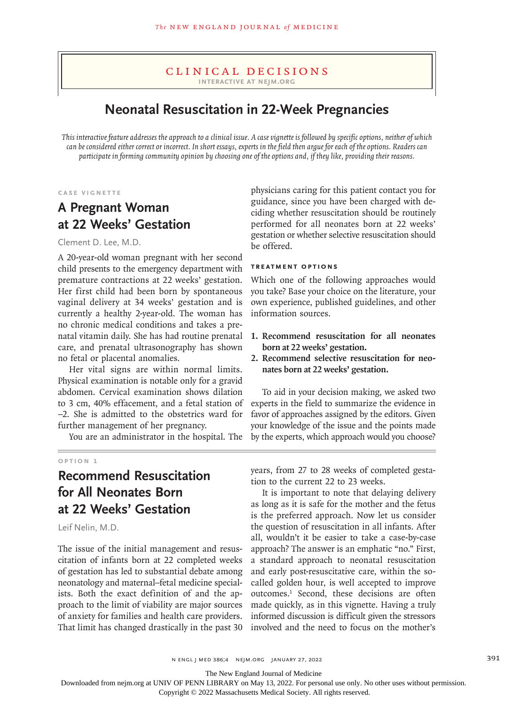### Clinical Decisions **Interactive at nejm.org**

# **Neonatal Resuscitation in 22-Week Pregnancies**

*This interactive feature addresses the approach to a clinical issue. A case vignette is followed by specific options, neither of which can be considered either correct or incorrect. In short essays, experts in the field then argue for each of the options. Readers can participate in forming community opinion by choosing one of the options and, if they like, providing their reasons.*

**Case Vignette**

## **A Pregnant Woman at 22 Weeks' Gestation**

Clement D. Lee, M.D.

A 20-year-old woman pregnant with her second child presents to the emergency department with premature contractions at 22 weeks' gestation. Her first child had been born by spontaneous vaginal delivery at 34 weeks' gestation and is currently a healthy 2-year-old. The woman has no chronic medical conditions and takes a prenatal vitamin daily. She has had routine prenatal care, and prenatal ultrasonography has shown no fetal or placental anomalies.

Her vital signs are within normal limits. Physical examination is notable only for a gravid abdomen. Cervical examination shows dilation to 3 cm, 40% effacement, and a fetal station of −2. She is admitted to the obstetrics ward for further management of her pregnancy.

You are an administrator in the hospital. The

#### **Option 1**

## **Recommend Resuscitation for All Neonates Born at 22 Weeks' Gestation**

Leif Nelin, M.D.

The issue of the initial management and resuscitation of infants born at 22 completed weeks of gestation has led to substantial debate among neonatology and maternal–fetal medicine specialists. Both the exact definition of and the approach to the limit of viability are major sources of anxiety for families and health care providers. That limit has changed drastically in the past 30 physicians caring for this patient contact you for guidance, since you have been charged with deciding whether resuscitation should be routinely performed for all neonates born at 22 weeks' gestation or whether selective resuscitation should be offered.

### **Treatment Options**

Which one of the following approaches would you take? Base your choice on the literature, your own experience, published guidelines, and other information sources.

- **1. Recommend resuscitation for all neonates born at 22 weeks' gestation.**
- **2. Recommend selective resuscitation for neonates born at 22 weeks' gestation.**

To aid in your decision making, we asked two experts in the field to summarize the evidence in favor of approaches assigned by the editors. Given your knowledge of the issue and the points made by the experts, which approach would you choose?

years, from 27 to 28 weeks of completed gestation to the current 22 to 23 weeks.

It is important to note that delaying delivery as long as it is safe for the mother and the fetus is the preferred approach. Now let us consider the question of resuscitation in all infants. After all, wouldn't it be easier to take a case-by-case approach? The answer is an emphatic "no." First, a standard approach to neonatal resuscitation and early post-resuscitative care, within the socalled golden hour, is well accepted to improve outcomes.1 Second, these decisions are often made quickly, as in this vignette. Having a truly informed discussion is difficult given the stressors involved and the need to focus on the mother's

n engl j med 386;4 nejm.org January 27, 2022 391

The New England Journal of Medicine

Downloaded from nejm.org at UNIV OF PENN LIBRARY on May 13, 2022. For personal use only. No other uses without permission.

Copyright © 2022 Massachusetts Medical Society. All rights reserved.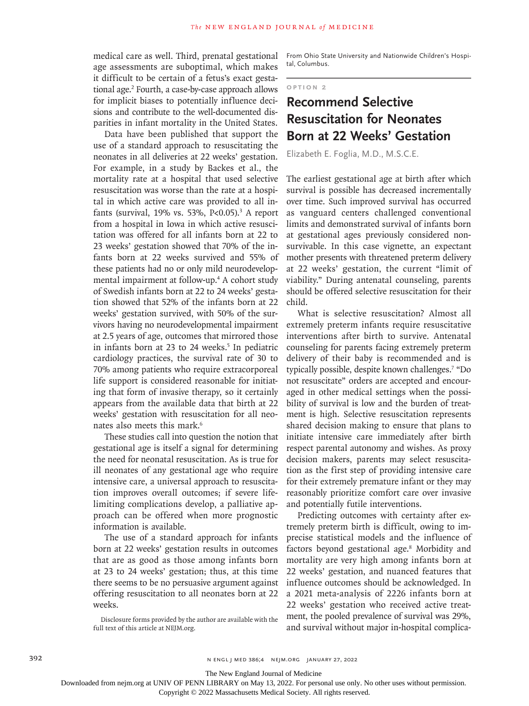medical care as well. Third, prenatal gestational age assessments are suboptimal, which makes it difficult to be certain of a fetus's exact gestational age.2 Fourth, a case-by-case approach allows for implicit biases to potentially influence decisions and contribute to the well-documented disparities in infant mortality in the United States.

Data have been published that support the use of a standard approach to resuscitating the neonates in all deliveries at 22 weeks' gestation. For example, in a study by Backes et al., the mortality rate at a hospital that used selective resuscitation was worse than the rate at a hospital in which active care was provided to all infants (survival, 19% vs. 53%, P<0.05).<sup>3</sup> A report from a hospital in Iowa in which active resuscitation was offered for all infants born at 22 to 23 weeks' gestation showed that 70% of the infants born at 22 weeks survived and 55% of these patients had no or only mild neurodevelopmental impairment at follow-up.<sup>4</sup> A cohort study of Swedish infants born at 22 to 24 weeks' gestation showed that 52% of the infants born at 22 weeks' gestation survived, with 50% of the survivors having no neurodevelopmental impairment at 2.5 years of age, outcomes that mirrored those in infants born at 23 to 24 weeks.<sup>5</sup> In pediatric cardiology practices, the survival rate of 30 to 70% among patients who require extracorporeal life support is considered reasonable for initiating that form of invasive therapy, so it certainly appears from the available data that birth at 22 weeks' gestation with resuscitation for all neonates also meets this mark.<sup>6</sup>

These studies call into question the notion that gestational age is itself a signal for determining the need for neonatal resuscitation. As is true for ill neonates of any gestational age who require intensive care, a universal approach to resuscitation improves overall outcomes; if severe lifelimiting complications develop, a palliative approach can be offered when more prognostic information is available.

The use of a standard approach for infants born at 22 weeks' gestation results in outcomes that are as good as those among infants born at 23 to 24 weeks' gestation; thus, at this time there seems to be no persuasive argument against offering resuscitation to all neonates born at 22 weeks.

Disclosure forms provided by the author are available with the full text of this article at NEJM.org.

From Ohio State University and Nationwide Children's Hospital, Columbus.

**Option 2**

# **Recommend Selective Resuscitation for Neonates Born at 22 Weeks' Gestation**

Elizabeth E. Foglia, M.D., M.S.C.E.

The earliest gestational age at birth after which survival is possible has decreased incrementally over time. Such improved survival has occurred as vanguard centers challenged conventional limits and demonstrated survival of infants born at gestational ages previously considered nonsurvivable. In this case vignette, an expectant mother presents with threatened preterm delivery at 22 weeks' gestation, the current "limit of viability." During antenatal counseling, parents should be offered selective resuscitation for their child.

What is selective resuscitation? Almost all extremely preterm infants require resuscitative interventions after birth to survive. Antenatal counseling for parents facing extremely preterm delivery of their baby is recommended and is typically possible, despite known challenges.7 "Do not resuscitate" orders are accepted and encouraged in other medical settings when the possibility of survival is low and the burden of treatment is high. Selective resuscitation represents shared decision making to ensure that plans to initiate intensive care immediately after birth respect parental autonomy and wishes. As proxy decision makers, parents may select resuscitation as the first step of providing intensive care for their extremely premature infant or they may reasonably prioritize comfort care over invasive and potentially futile interventions.

Predicting outcomes with certainty after extremely preterm birth is difficult, owing to imprecise statistical models and the influence of factors beyond gestational age.<sup>8</sup> Morbidity and mortality are very high among infants born at 22 weeks' gestation, and nuanced features that influence outcomes should be acknowledged. In a 2021 meta-analysis of 2226 infants born at 22 weeks' gestation who received active treatment, the pooled prevalence of survival was 29%, and survival without major in-hospital complica-

The New England Journal of Medicine

Downloaded from nejm.org at UNIV OF PENN LIBRARY on May 13, 2022. For personal use only. No other uses without permission.

Copyright © 2022 Massachusetts Medical Society. All rights reserved.